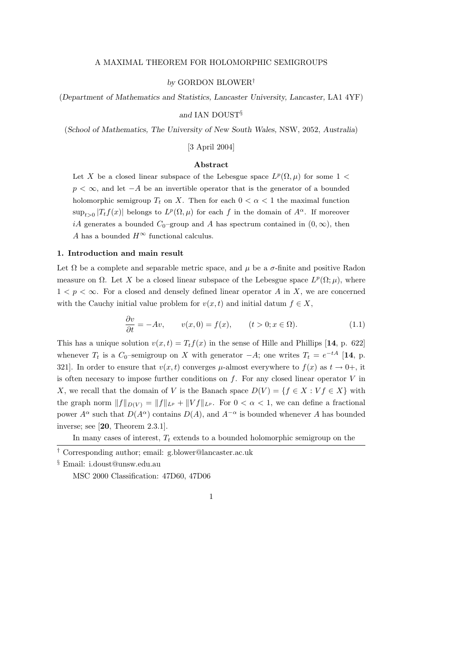#### A MAXIMAL THEOREM FOR HOLOMORPHIC SEMIGROUPS

### by GORDON BLOWER†

(Department of Mathematics and Statistics, Lancaster University, Lancaster, LA1 4YF)

#### and IAN DOUST§

(School of Mathematics, The University of New South Wales, NSW, 2052, Australia)

## [3 April 2004]

## Abstract

Let X be a closed linear subspace of the Lebesgue space  $L^p(\Omega,\mu)$  for some 1 <  $p < \infty$ , and let  $-A$  be an invertible operator that is the generator of a bounded holomorphic semigroup  $T_t$  on X. Then for each  $0 < \alpha < 1$  the maximal function  $\sup_{t>0} |T_t f(x)|$  belongs to  $L^p(\Omega, \mu)$  for each f in the domain of  $A^{\alpha}$ . If moreover iA generates a bounded  $C_0$ –group and A has spectrum contained in  $(0, \infty)$ , then A has a bounded  $H^{\infty}$  functional calculus.

#### 1. Introduction and main result

Let  $\Omega$  be a complete and separable metric space, and  $\mu$  be a  $\sigma$ -finite and positive Radon measure on  $\Omega$ . Let X be a closed linear subspace of the Lebesgue space  $L^p(\Omega;\mu)$ , where  $1 < p < \infty$ . For a closed and densely defined linear operator A in X, we are concerned with the Cauchy initial value problem for  $v(x, t)$  and initial datum  $f \in X$ ,

$$
\frac{\partial v}{\partial t} = -Av, \qquad v(x,0) = f(x), \qquad (t > 0; x \in \Omega). \tag{1.1}
$$

This has a unique solution  $v(x, t) = T_t f(x)$  in the sense of Hille and Phillips [14, p. 622] whenever  $T_t$  is a  $C_0$ -semigroup on X with generator  $-A$ ; one writes  $T_t = e^{-tA}$  [14, p. 321]. In order to ensure that  $v(x, t)$  converges  $\mu$ -almost everywhere to  $f(x)$  as  $t \to 0^+$ , it is often necesary to impose further conditions on  $f$ . For any closed linear operator  $V$  in X, we recall that the domain of V is the Banach space  $D(V) = \{f \in X : Vf \in X\}$  with the graph norm  $||f||_{D(V)} = ||f||_{L^p} + ||Vf||_{L^p}$ . For  $0 < \alpha < 1$ , we can define a fractional power  $A^{\alpha}$  such that  $D(A^{\alpha})$  contains  $D(A)$ , and  $A^{-\alpha}$  is bounded whenever A has bounded inverse; see [20, Theorem 2.3.1].

In many cases of interest,  $T_t$  extends to a bounded holomorphic semigroup on the

MSC 2000 Classification: 47D60, 47D06

<sup>†</sup> Corresponding author; email: g.blower@lancaster.ac.uk

<sup>§</sup> Email: i.doust@unsw.edu.au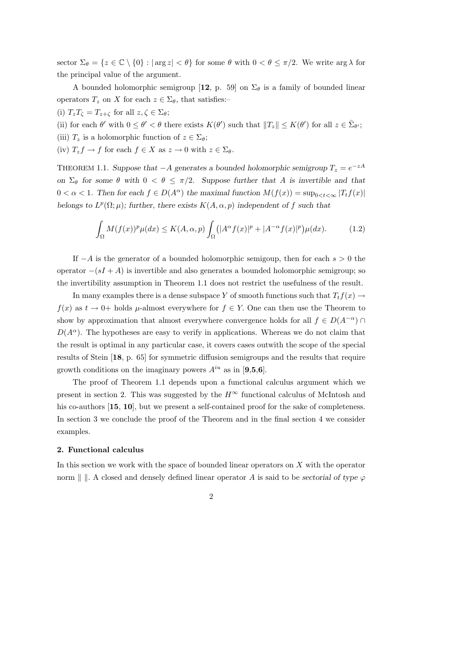sector  $\Sigma_{\theta} = \{z \in \mathbb{C} \setminus \{0\} : |\arg z| < \theta\}$  for some  $\theta$  with  $0 < \theta \leq \pi/2$ . We write  $\arg \lambda$  for the principal value of the argument.

A bounded holomorphic semigroup [12, p. 59] on  $\Sigma_{\theta}$  is a family of bounded linear operators  $T_z$  on X for each  $z \in \Sigma_{\theta}$ , that satisfies:-

- (i)  $T_zT_\zeta = T_{z+\zeta}$  for all  $z,\zeta \in \Sigma_\theta;$
- (ii) for each  $\theta'$  with  $0 \leq \theta' < \theta$  there exists  $K(\theta')$  such that  $||T_z|| \leq K(\theta')$  for all  $z \in \bar{\Sigma}_{\theta'}$ ;
- (iii)  $T_z$  is a holomorphic function of  $z \in \Sigma_{\theta}$ ;
- (iv)  $T_z f \to f$  for each  $f \in X$  as  $z \to 0$  with  $z \in \Sigma_{\theta}$ .

THEOREM 1.1. Suppose that  $-A$  generates a bounded holomorphic semigroup  $T_z = e^{-zA}$ on  $\Sigma_{\theta}$  for some  $\theta$  with  $0 < \theta \leq \pi/2$ . Suppose further that A is invertible and that  $0 < \alpha < 1$ . Then for each  $f \in D(A^{\alpha})$  the maximal function  $M(f(x)) = \sup_{0 \leq t \leq \infty} |T_t f(x)|$ belongs to  $L^p(\Omega;\mu)$ ; further, there exists  $K(A,\alpha,p)$  independent of f such that

$$
\int_{\Omega} M(f(x))^p \mu(dx) \le K(A, \alpha, p) \int_{\Omega} (|A^{\alpha} f(x)|^p + |A^{-\alpha} f(x)|^p) \mu(dx). \tag{1.2}
$$

If  $-A$  is the generator of a bounded holomorphic semigoup, then for each  $s > 0$  the operator  $-(sI + A)$  is invertible and also generates a bounded holomorphic semigroup; so the invertibility assumption in Theorem 1.1 does not restrict the usefulness of the result.

In many examples there is a dense subspace Y of smooth functions such that  $T_t f(x) \to$  $f(x)$  as  $t \to 0^+$  holds  $\mu$ -almost everywhere for  $f \in Y$ . One can then use the Theorem to show by approximation that almost everywhere convergence holds for all  $f \in D(A^{-\alpha}) \cap$  $D(A^{\alpha})$ . The hypotheses are easy to verify in applications. Whereas we do not claim that the result is optimal in any particular case, it covers cases outwith the scope of the special results of Stein [18, p. 65] for symmetric diffusion semigroups and the results that require growth conditions on the imaginary powers  $A^{iu}$  as in [9,5,6].

The proof of Theorem 1.1 depends upon a functional calculus argument which we present in section 2. This was suggested by the  $H^{\infty}$  functional calculus of McIntosh and his co-authors [15, 10], but we present a self-contained proof for the sake of completeness. In section 3 we conclude the proof of the Theorem and in the final section 4 we consider examples.

#### 2. Functional calculus

In this section we work with the space of bounded linear operators on  $X$  with the operator norm || ||. A closed and densely defined linear operator A is said to be sectorial of type  $\varphi$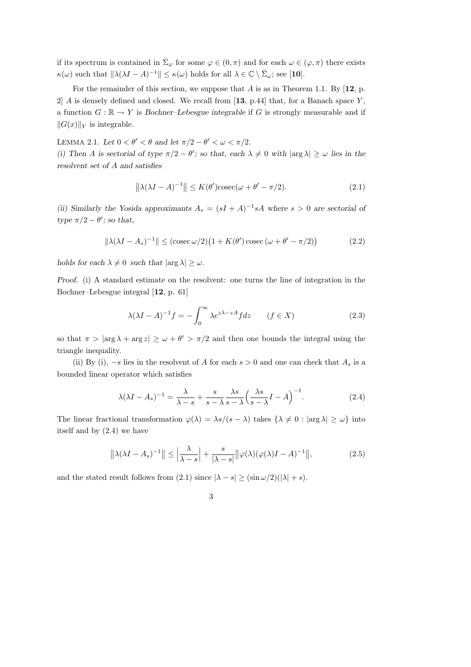if its spectrum is contained in  $\bar{\Sigma}_{\varphi}$  for some  $\varphi \in (0, \pi)$  and for each  $\omega \in (\varphi, \pi)$  there exists  $\kappa(\omega)$  such that  $\|\lambda(\lambda I - A)^{-1}\| \leq \kappa(\omega)$  holds for all  $\lambda \in \mathbb{C} \setminus \bar{\Sigma}_{\omega}$ ; see [10].

For the remainder of this section, we suppose that A is as in Theorem 1.1. By  $[12, p.$  $2|A$  is densely defined and closed. We recall from [13, p.44] that, for a Banach space Y, a function  $G : \mathbb{R} \to Y$  is Bochner–Lebesgue integrable if G is strongly measurable and if  $\|G(x)\|_Y$  is integrable.

LEMMA 2.1. Let  $0 < \theta' < \theta$  and let  $\pi/2 - \theta' < \omega < \pi/2$ .

(i) Then A is sectorial of type  $\pi/2 - \theta'$ ; so that, each  $\lambda \neq 0$  with  $|\arg \lambda| \geq \omega$  lies in the resolvent set of A and satisfies

$$
\left\|\lambda(\lambda I - A)^{-1}\right\| \le K(\theta')\operatorname{cosec}(\omega + \theta' - \pi/2). \tag{2.1}
$$

(ii) Similarly the Yosida approximants  $A_s = (sI + A)^{-1} sA$  where  $s > 0$  are sectorial of type  $\pi/2 - \theta'$ ; so that,

$$
\|\lambda(\lambda I - A_s)^{-1}\| \le (\csc \omega/2) \left(1 + K(\theta') \csc (\omega + \theta' - \pi/2)\right) \tag{2.2}
$$

holds for each  $\lambda \neq 0$  such that  $|\arg \lambda| \geq \omega$ .

Proof. (i) A standard estimate on the resolvent: one turns the line of integration in the Bochner–Lebesgue integral [12, p. 61]

$$
\lambda(\lambda I - A)^{-1}f = -\int_0^\infty \lambda e^{z\lambda - zA} f dz \qquad (f \in X)
$$
 (2.3)

so that  $\pi > |\arg \lambda + \arg z| \geq \omega + \theta' > \pi/2$  and then one bounds the integral using the triangle inequality.

(ii) By (i),  $-s$  lies in the resolvent of A for each  $s > 0$  and one can check that  $A_s$  is a bounded linear operator which satisfies

$$
\lambda(\lambda I - A_s)^{-1} = \frac{\lambda}{\lambda - s} + \frac{s}{s - \lambda} \frac{\lambda s}{s - \lambda} \left(\frac{\lambda s}{s - \lambda} I - A\right)^{-1}.
$$
 (2.4)

The linear fractional transformation  $\varphi(\lambda) = \lambda s/(s - \lambda)$  takes  $\{\lambda \neq 0 : |\arg \lambda| \geq \omega\}$  into itself and by (2.4) we have

$$
\left\|\lambda(\lambda I - A_s)^{-1}\right\| \le \left|\frac{\lambda}{\lambda - s}\right| + \frac{s}{|\lambda - s|} \|\varphi(\lambda)(\varphi(\lambda)I - A)^{-1}\|,
$$
\n(2.5)

and the stated result follows from (2.1) since  $|\lambda - s| \geq (\sin \omega/2)(|\lambda| + s)$ .

3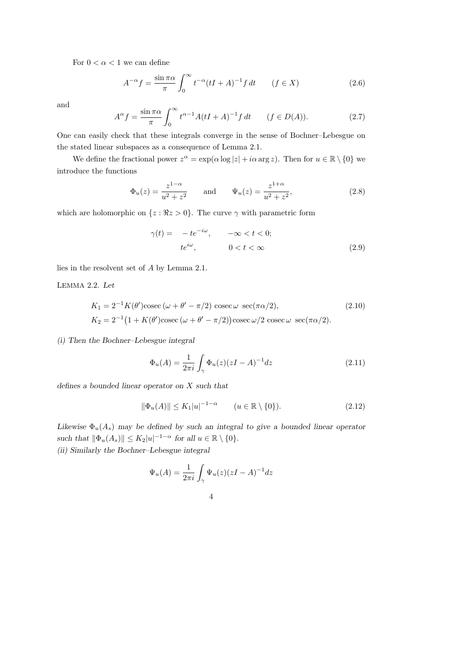For  $0 < \alpha < 1$  we can define

$$
A^{-\alpha}f = \frac{\sin \pi \alpha}{\pi} \int_0^\infty t^{-\alpha} (tI + A)^{-1} f dt \qquad (f \in X)
$$
 (2.6)

and

$$
A^{\alpha} f = \frac{\sin \pi \alpha}{\pi} \int_0^{\infty} t^{\alpha - 1} A(tI + A)^{-1} f dt \qquad (f \in D(A)).
$$
 (2.7)

One can easily check that these integrals converge in the sense of Bochner–Lebesgue on the stated linear subspaces as a consequence of Lemma 2.1.

We define the fractional power  $z^{\alpha} = \exp(\alpha \log |z| + i\alpha \arg z)$ . Then for  $u \in \mathbb{R} \setminus \{0\}$  we introduce the functions

$$
\Phi_u(z) = \frac{z^{1-\alpha}}{u^2 + z^2} \quad \text{and} \quad \Psi_u(z) = \frac{z^{1+\alpha}}{u^2 + z^2}, \tag{2.8}
$$

which are holomorphic on  $\{z : \Re z > 0\}$ . The curve  $\gamma$  with parametric form

$$
\gamma(t) = -te^{-i\omega}, \qquad -\infty < t < 0;
$$
  
\n
$$
te^{i\omega}, \qquad 0 < t < \infty
$$
\n(2.9)

lies in the resolvent set of A by Lemma 2.1.

LEMMA 2.2. Let

$$
K_1 = 2^{-1}K(\theta')\csc(\omega + \theta' - \pi/2)\csc\omega \sec(\pi\alpha/2),
$$
\n
$$
K_2 = 2^{-1}(1 + K(\theta')\csc(\omega + \theta' - \pi/2))\csc\omega/2\csc\omega \sec(\pi\alpha/2).
$$
\n(2.10)

(i) Then the Bochner–Lebesgue integral

$$
\Phi_u(A) = \frac{1}{2\pi i} \int_{\gamma} \Phi_u(z)(zI - A)^{-1} dz \tag{2.11}
$$

defines a bounded linear operator on X such that

$$
\|\Phi_u(A)\| \le K_1 |u|^{-1-\alpha} \qquad (u \in \mathbb{R} \setminus \{0\}).
$$
 (2.12)

Likewise  $\Phi_u(A_s)$  may be defined by such an integral to give a bounded linear operator such that  $\|\Phi_u(A_s)\| \le K_2|u|^{-1-\alpha}$  for all  $u \in \mathbb{R} \setminus \{0\}.$ 

(ii) Similarly the Bochner–Lebesgue integral

$$
\Psi_u(A) = \frac{1}{2\pi i} \int_{\gamma} \Psi_u(z)(zI - A)^{-1} dz
$$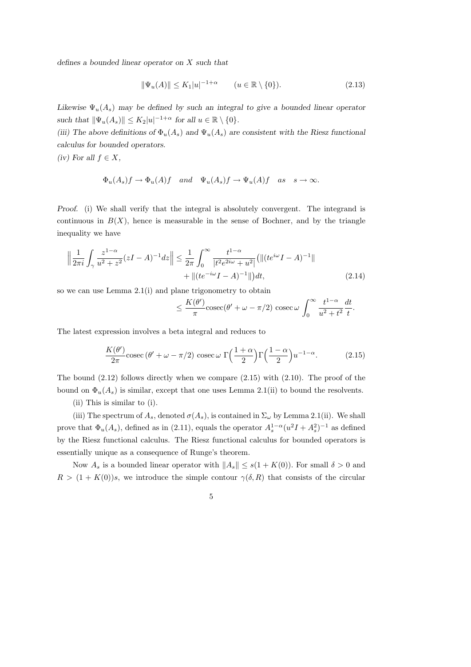defines a bounded linear operator on X such that

$$
\|\Psi_u(A)\| \le K_1 |u|^{-1+\alpha} \qquad (u \in \mathbb{R} \setminus \{0\}).\tag{2.13}
$$

Likewise  $\Psi_u(A_s)$  may be defined by such an integral to give a bounded linear operator such that  $\|\Psi_u(A_s)\| \le K_2|u|^{-1+\alpha}$  for all  $u \in \mathbb{R} \setminus \{0\}.$ 

(iii) The above definitions of  $\Phi_u(A_s)$  and  $\Psi_u(A_s)$  are consistent with the Riesz functional calculus for bounded operators.

(iv) For all  $f \in X$ ,

$$
\Phi_u(A_s)f \to \Phi_u(A)f
$$
 and  $\Psi_u(A_s)f \to \Psi_u(A)f$  as  $s \to \infty$ .

Proof. (i) We shall verify that the integral is absolutely convergent. The integrand is continuous in  $B(X)$ , hence is measurable in the sense of Bochner, and by the triangle inequality we have

$$
\left\| \frac{1}{2\pi i} \int_{\gamma} \frac{z^{1-\alpha}}{u^2 + z^2} (zI - A)^{-1} dz \right\| \le \frac{1}{2\pi} \int_0^{\infty} \frac{t^{1-\alpha}}{|t^2 e^{2i\omega} + u^2|} \left( \| (te^{i\omega}I - A)^{-1} \| + \| (te^{-i\omega}I - A)^{-1} \| \right) dt,
$$
\n(2.14)

so we can use Lemma 2.1(i) and plane trigonometry to obtain

$$
\leq \frac{K(\theta')}{\pi}\csc(\theta' + \omega - \pi/2) \csc \omega \int_0^\infty \frac{t^{1-\alpha}}{u^2 + t^2} \frac{dt}{t}.
$$

The latest expression involves a beta integral and reduces to

$$
\frac{K(\theta')}{2\pi}\csc(\theta' + \omega - \pi/2)\csc\omega \Gamma\left(\frac{1+\alpha}{2}\right)\Gamma\left(\frac{1-\alpha}{2}\right)u^{-1-\alpha}.\tag{2.15}
$$

The bound  $(2.12)$  follows directly when we compare  $(2.15)$  with  $(2.10)$ . The proof of the bound on  $\Phi_u(A_s)$  is similar, except that one uses Lemma 2.1(ii) to bound the resolvents.

(ii) This is similar to (i).

(iii) The spectrum of  $A_s$ , denoted  $\sigma(A_s)$ , is contained in  $\Sigma_\omega$  by Lemma 2.1(ii). We shall prove that  $\Phi_u(A_s)$ , defined as in (2.11), equals the operator  $A_s^{1-\alpha}(u^2I + A_s^2)^{-1}$  as defined by the Riesz functional calculus. The Riesz functional calculus for bounded operators is essentially unique as a consequence of Runge's theorem.

Now  $A_s$  is a bounded linear operator with  $||A_s|| \leq s(1 + K(0))$ . For small  $\delta > 0$  and  $R > (1 + K(0))s$ , we introduce the simple contour  $\gamma(\delta, R)$  that consists of the circular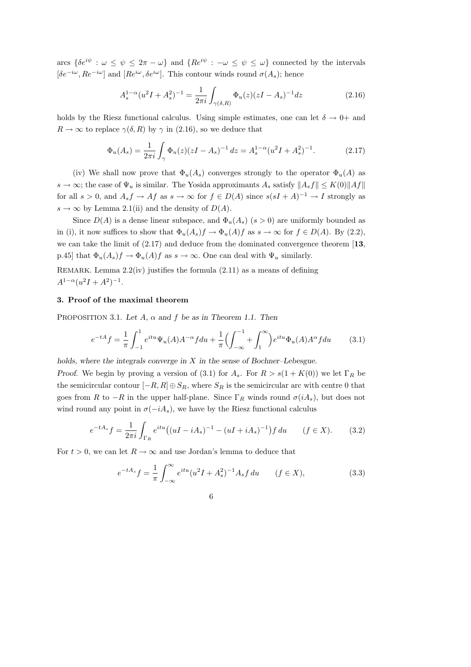arcs  $\{\delta e^{i\psi}: \omega \leq \psi \leq 2\pi - \omega\}$  and  $\{Re^{i\psi}: -\omega \leq \psi \leq \omega\}$  connected by the intervals  $[\delta e^{-i\omega}, Re^{-i\omega}]$  and  $[Re^{i\omega}, \delta e^{i\omega}]$ . This contour winds round  $\sigma(A_s)$ ; hence

$$
A_s^{1-\alpha}(u^2I + A_s^2)^{-1} = \frac{1}{2\pi i} \int_{\gamma(\delta,R)} \Phi_u(z)(zI - A_s)^{-1} dz
$$
 (2.16)

holds by the Riesz functional calculus. Using simple estimates, one can let  $\delta \to 0^+$  and  $R \to \infty$  to replace  $\gamma(\delta, R)$  by  $\gamma$  in (2.16), so we deduce that

$$
\Phi_u(A_s) = \frac{1}{2\pi i} \int_{\gamma} \Phi_u(z) (zI - A_s)^{-1} dz = A_s^{1-\alpha} (u^2I + A_s^2)^{-1}.
$$
 (2.17)

(iv) We shall now prove that  $\Phi_u(A_s)$  converges strongly to the operator  $\Phi_u(A)$  as  $s \to \infty$ ; the case of  $\Psi_u$  is similar. The Yosida approximants  $A_s$  satisfy  $||A_s f|| \leq K(0) ||Af||$ for all  $s > 0$ , and  $A_s f \to Af$  as  $s \to \infty$  for  $f \in D(A)$  since  $s(sI + A)^{-1} \to I$  strongly as  $s \to \infty$  by Lemma 2.1(ii) and the density of  $D(A)$ .

Since  $D(A)$  is a dense linear subspace, and  $\Phi_u(A_s)$   $(s > 0)$  are uniformly bounded as in (i), it now suffices to show that  $\Phi_u(A_s)f \to \Phi_u(A)f$  as  $s \to \infty$  for  $f \in D(A)$ . By (2.2), we can take the limit of  $(2.17)$  and deduce from the dominated convergence theorem  $[13,$ p.45] that  $\Phi_u(A_s)f \to \Phi_u(A)f$  as  $s \to \infty$ . One can deal with  $\Psi_u$  similarly.

REMARK. Lemma 2.2(iv) justifies the formula (2.11) as a means of defining  $A^{1-\alpha}(u^2I + A^2)^{-1}.$ 

### 3. Proof of the maximal theorem

PROPOSITION 3.1. Let  $A$ ,  $\alpha$  and  $f$  be as in Theorem 1.1. Then

$$
e^{-tA}f = \frac{1}{\pi} \int_{-1}^{1} e^{itu} \Psi_u(A) A^{-\alpha} f du + \frac{1}{\pi} \Bigl( \int_{-\infty}^{-1} + \int_{1}^{\infty} \Bigr) e^{itu} \Phi_u(A) A^{\alpha} f du \qquad (3.1)
$$

holds, where the integrals converge in X in the sense of Bochner–Lebesgue.

Proof. We begin by proving a version of (3.1) for  $A_s$ . For  $R > s(1 + K(0))$  we let  $\Gamma_R$  be the semicircular contour  $[-R, R] \oplus S_R$ , where  $S_R$  is the semicircular arc with centre 0 that goes from R to  $-R$  in the upper half-plane. Since  $\Gamma_R$  winds round  $\sigma(iA_s)$ , but does not wind round any point in  $\sigma(-iA_s)$ , we have by the Riesz functional calculus

$$
e^{-tA_s}f = \frac{1}{2\pi i} \int_{\Gamma_R} e^{itu} \left( (uI - iA_s)^{-1} - (uI + iA_s)^{-1} \right) f \, du \qquad (f \in X). \tag{3.2}
$$

For  $t > 0$ , we can let  $R \to \infty$  and use Jordan's lemma to deduce that

$$
e^{-tA_s}f = \frac{1}{\pi} \int_{-\infty}^{\infty} e^{itu} (u^2 I + A_s^2)^{-1} A_s f du \qquad (f \in X),
$$
 (3.3)

6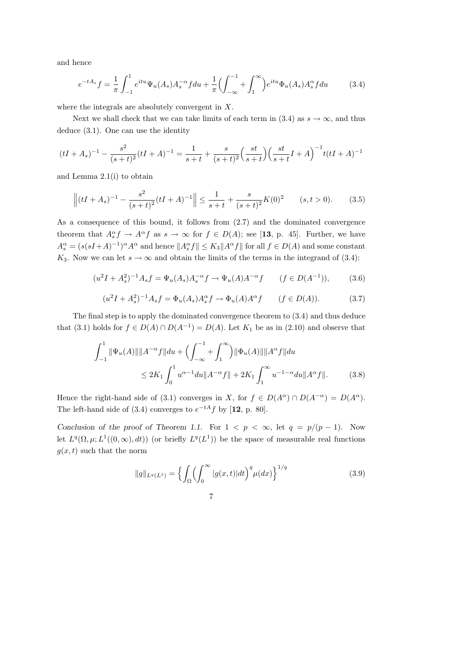and hence

$$
e^{-tA_s}f = \frac{1}{\pi} \int_{-1}^1 e^{itu} \Psi_u(A_s) A_s^{-\alpha} f du + \frac{1}{\pi} \Bigl( \int_{-\infty}^{-1} + \int_1^{\infty} \Bigr) e^{itu} \Phi_u(A_s) A_s^{\alpha} f du \tag{3.4}
$$

where the integrals are absolutely convergent in X.

Next we shall check that we can take limits of each term in (3.4) as  $s \to \infty$ , and thus deduce (3.1). One can use the identity

$$
(tI + A_s)^{-1} - \frac{s^2}{(s+t)^2}(tI + A)^{-1} = \frac{1}{s+t} + \frac{s}{(s+t)^2} \left(\frac{st}{s+t}\right) \left(\frac{st}{s+t}I + A\right)^{-1} t(tI + A)^{-1}
$$

and Lemma 2.1(i) to obtain

$$
\left\| (tI + A_s)^{-1} - \frac{s^2}{(s+t)^2} (tI + A)^{-1} \right\| \le \frac{1}{s+t} + \frac{s}{(s+t)^2} K(0)^2 \qquad (s, t > 0). \tag{3.5}
$$

As a consequence of this bound, it follows from (2.7) and the dominated convergence theorem that  $A_s^{\alpha} f \to A^{\alpha} f$  as  $s \to \infty$  for  $f \in D(A)$ ; see [13, p. 45]. Further, we have  $A_s^{\alpha} = (s(sI+A)^{-1})^{\alpha} A^{\alpha}$  and hence  $||A_s^{\alpha} f|| \le K_3 ||A^{\alpha} f||$  for all  $f \in D(A)$  and some constant K<sub>3</sub>. Now we can let  $s \to \infty$  and obtain the limits of the terms in the integrand of (3.4):

$$
(u^{2}I + A_{s}^{2})^{-1}A_{s}f = \Psi_{u}(A_{s})A_{s}^{-\alpha}f \to \Psi_{u}(A)A^{-\alpha}f \qquad (f \in D(A^{-1})), \tag{3.6}
$$

$$
(u^{2}I + A_{s}^{2})^{-1}A_{s}f = \Phi_{u}(A_{s})A_{s}^{\alpha}f \to \Phi_{u}(A)A^{\alpha}f \qquad (f \in D(A)).
$$
 (3.7)

The final step is to apply the dominated convergence theorem to (3.4) and thus deduce that (3.1) holds for  $f \in D(A) \cap D(A^{-1}) = D(A)$ . Let  $K_1$  be as in (2.10) and observe that

$$
\int_{-1}^{1} \|\Psi_u(A)\| \|A^{-\alpha}f\| du + \left(\int_{-\infty}^{-1} + \int_{1}^{\infty}\right) \|\Phi_u(A)\| \|A^{\alpha}f\| du
$$
  
\$\leq 2K\_1 \int\_{0}^{1} u^{\alpha-1} du \|A^{-\alpha}f\| + 2K\_1 \int\_{1}^{\infty} u^{-1-\alpha} du \|A^{\alpha}f\|.\$ (3.8)

Hence the right-hand side of (3.1) converges in X, for  $f \in D(A^{\alpha}) \cap D(A^{-\alpha}) = D(A^{\alpha})$ . The left-hand side of (3.4) converges to  $e^{-tA}f$  by [12, p. 80].

Conclusion of the proof of Theorem 1.1. For  $1 < p < \infty$ , let  $q = p/(p-1)$ . Now let  $L^q(\Omega,\mu;L^1((0,\infty),dt))$  (or briefly  $L^q(L^1)$ ) be the space of measurable real functions  $q(x, t)$  such that the norm

$$
||g||_{L^{q}(L^{1})} = \left\{ \int_{\Omega} \left( \int_{0}^{\infty} |g(x,t)| dt \right)^{q} \mu(dx) \right\}^{1/q}
$$
(3.9)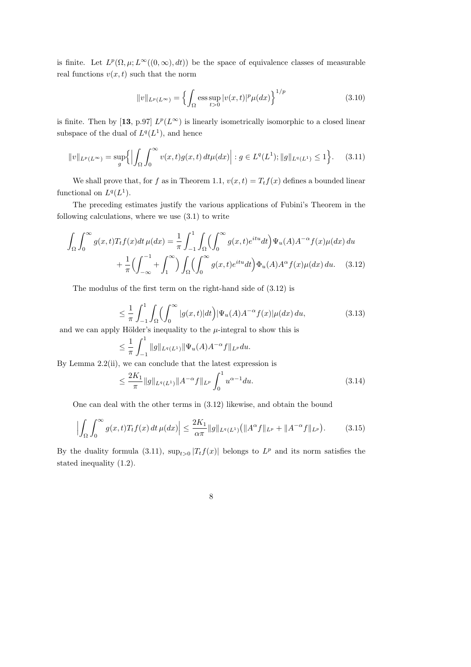is finite. Let  $L^p(\Omega,\mu;L^{\infty}((0,\infty),dt))$  be the space of equivalence classes of measurable real functions  $v(x, t)$  such that the norm

$$
||v||_{L^{p}(L^{\infty})} = \left\{ \int_{\Omega} \operatorname{ess} \sup_{t>0} |v(x,t)|^{p} \mu(dx) \right\}^{1/p}
$$
(3.10)

is finite. Then by [13, p.97]  $L^p(L^{\infty})$  is linearly isometrically isomorphic to a closed linear subspace of the dual of  $L^q(L^1)$ , and hence

$$
||v||_{L^p(L^\infty)} = \sup_g \left\{ \left| \int_{\Omega} \int_0^\infty v(x, t) g(x, t) \, dt \mu(dx) \right| : g \in L^q(L^1); ||g||_{L^q(L^1)} \le 1 \right\}.
$$
 (3.11)

We shall prove that, for f as in Theorem 1.1,  $v(x, t) = T_t f(x)$  defines a bounded linear functional on  $L^q(L^1)$ .

The preceding estimates justify the various applications of Fubini's Theorem in the following calculations, where we use  $(3.1)$  to write

$$
\int_{\Omega} \int_0^{\infty} g(x,t) T_t f(x) dt \,\mu(dx) = \frac{1}{\pi} \int_{-1}^1 \int_{\Omega} \left( \int_0^{\infty} g(x,t) e^{itu} dt \right) \Psi_u(A) A^{-\alpha} f(x) \mu(dx) \, du
$$

$$
+ \frac{1}{\pi} \left( \int_{-\infty}^{-1} + \int_1^{\infty} \right) \int_{\Omega} \left( \int_0^{\infty} g(x,t) e^{itu} dt \right) \Phi_u(A) A^{\alpha} f(x) \mu(dx) \, du. \tag{3.12}
$$

The modulus of the first term on the right-hand side of (3.12) is

$$
\leq \frac{1}{\pi} \int_{-1}^{1} \int_{\Omega} \left( \int_{0}^{\infty} |g(x,t)| dt \right) |\Psi_u(A)A^{-\alpha} f(x)| \mu(dx) du,
$$
\n(Hölder's inequality to the *u* integral to show this is

and we can apply Hölder's inequality to the  $\mu$ -integral to show this is

$$
\leq \frac{1}{\pi} \int_{-1}^{1} \|g\|_{L^{q}(L^{1})} \|\Psi_{u}(A)A^{-\alpha}f\|_{L^{p}} du.
$$

By Lemma  $2.2(ii)$ , we can conclude that the latest expression is

$$
\leq \frac{2K_1}{\pi} \|g\|_{L^q(L^1)} \|A^{-\alpha}f\|_{L^p} \int_0^1 u^{\alpha-1} du. \tag{3.14}
$$

One can deal with the other terms in (3.12) likewise, and obtain the bound

$$
\left| \int_{\Omega} \int_{0}^{\infty} g(x, t) T_{t} f(x) dt \, \mu(dx) \right| \leq \frac{2K_{1}}{\alpha \pi} \|g\|_{L^{q}(L^{1})} \left( \|A^{\alpha} f\|_{L^{p}} + \|A^{-\alpha} f\|_{L^{p}} \right). \tag{3.15}
$$

By the duality formula (3.11),  $\sup_{t>0} |T_t f(x)|$  belongs to  $L^p$  and its norm satisfies the stated inequality (1.2).

8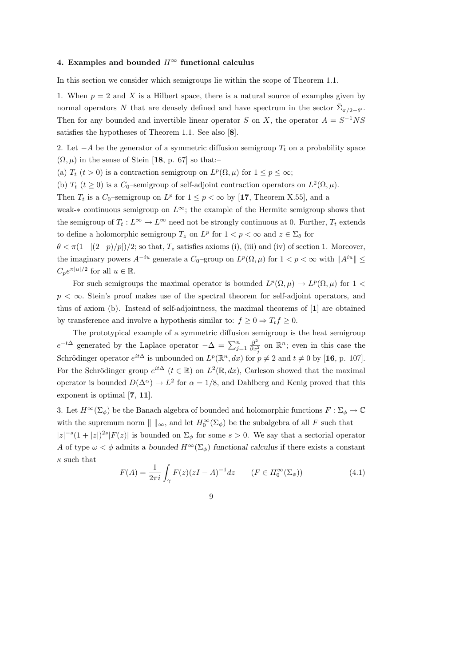# 4. Examples and bounded  $H^{\infty}$  functional calculus

In this section we consider which semigroups lie within the scope of Theorem 1.1.

1. When  $p = 2$  and X is a Hilbert space, there is a natural source of examples given by normal operators N that are densely defined and have spectrum in the sector  $\bar{\Sigma}_{\pi/2-\theta}$ . Then for any bounded and invertible linear operator S on X, the operator  $A = S^{-1}NS$ satisfies the hypotheses of Theorem 1.1. See also [8].

2. Let  $-A$  be the generator of a symmetric diffusion semigroup  $T_t$  on a probability space  $(\Omega, \mu)$  in the sense of Stein [18, p. 67] so that:–

(a)  $T_t$  ( $t > 0$ ) is a contraction semigroup on  $L^p(\Omega, \mu)$  for  $1 \le p \le \infty$ ;

(b)  $T_t$  ( $t \ge 0$ ) is a  $C_0$ -semigroup of self-adjoint contraction operators on  $L^2(\Omega, \mu)$ .

Then  $T_t$  is a  $C_0$ -semigroup on  $L^p$  for  $1 \leq p < \infty$  by [17, Theorem X.55], and a

weak-\* continuous semigroup on  $L^{\infty}$ ; the example of the Hermite semigroup shows that the semigroup of  $T_t : L^{\infty} \to L^{\infty}$  need not be strongly continuous at 0. Further,  $T_t$  extends to define a holomorphic semigroup  $T_z$  on  $L^p$  for  $1 < p < \infty$  and  $z \in \Sigma_{\theta}$  for

 $\theta < \pi(1-|(2-p)/p|)/2$ ; so that,  $T_z$  satisfies axioms (i), (iii) and (iv) of section 1. Moreover, the imaginary powers  $A^{-iu}$  generate a  $C_0$ -group on  $L^p(\Omega, \mu)$  for  $1 < p < \infty$  with  $||A^{iu}|| \le$  $C_p e^{\pi |u|/2}$  for all  $u \in \mathbb{R}$ .

For such semigroups the maximal operator is bounded  $L^p(\Omega,\mu) \to L^p(\Omega,\mu)$  for  $1 <$  $p < \infty$ . Stein's proof makes use of the spectral theorem for self-adjoint operators, and thus of axiom (b). Instead of self-adjointness, the maximal theorems of [1] are obtained by transference and involve a hypothesis similar to:  $f \geq 0 \Rightarrow T_t f \geq 0$ .

The prototypical example of a symmetric diffusion semigroup is the heat semigroup  $e^{-t\Delta}$  generated by the Laplace operator  $-\Delta = \sum_{j=1}^{n}$  $\partial^2$  $\frac{\partial^2}{\partial x_j^2}$  on  $\mathbb{R}^n$ ; even in this case the Schrödinger operator  $e^{it\Delta}$  is unbounded on  $L^p(\mathbb{R}^n, dx)$  for  $p \neq 2$  and  $t \neq 0$  by [16, p. 107]. For the Schrödinger group  $e^{it\Delta}$   $(t \in \mathbb{R})$  on  $L^2(\mathbb{R}, dx)$ , Carleson showed that the maximal operator is bounded  $D(\Delta^{\alpha}) \to L^2$  for  $\alpha = 1/8$ , and Dahlberg and Kenig proved that this exponent is optimal [7, 11].

3. Let  $H^{\infty}(\Sigma_{\phi})$  be the Banach algebra of bounded and holomorphic functions  $F : \Sigma_{\phi} \to \mathbb{C}$ with the supremum norm  $\| \ \|_{\infty}$ , and let  $H_0^{\infty}(\Sigma_{\phi})$  be the subalgebra of all F such that

 $|z|^{-s}(1+|z|)^{2s}|F(z)|$  is bounded on  $\Sigma_{\phi}$  for some  $s>0$ . We say that a sectorial operator A of type  $\omega < \phi$  admits a bounded  $H^{\infty}(\Sigma_{\phi})$  functional calculus if there exists a constant  $\kappa$  such that

$$
F(A) = \frac{1}{2\pi i} \int_{\gamma} F(z)(zI - A)^{-1} dz \qquad (F \in H_0^{\infty}(\Sigma_{\phi})) \tag{4.1}
$$

9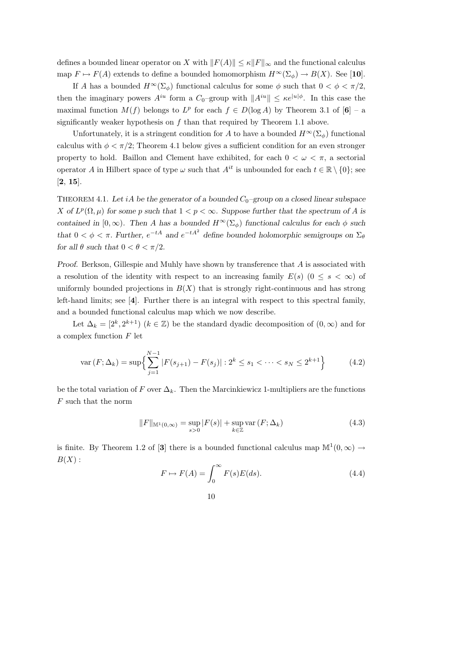defines a bounded linear operator on X with  $||F(A)|| \leq \kappa ||F||_{\infty}$  and the functional calculus map  $F \mapsto F(A)$  extends to define a bounded homomorphism  $H^{\infty}(\Sigma_{\phi}) \to B(X)$ . See [10].

If A has a bounded  $H^{\infty}(\Sigma_{\phi})$  functional calculus for some  $\phi$  such that  $0 < \phi < \pi/2$ , then the imaginary powers  $A^{iu}$  form a  $C_0$ -group with  $||A^{iu}|| \leq \kappa e^{|u| \phi}$ . In this case the maximal function  $M(f)$  belongs to  $L^p$  for each  $f \in D(\log A)$  by Theorem 3.1 of  $[6]$  – a significantly weaker hypothesis on  $f$  than that required by Theorem 1.1 above.

Unfortunately, it is a stringent condition for A to have a bounded  $H^{\infty}(\Sigma_{\phi})$  functional calculus with  $\phi < \pi/2$ ; Theorem 4.1 below gives a sufficient condition for an even stronger property to hold. Baillon and Clement have exhibited, for each  $0 < \omega < \pi$ , a sectorial operator A in Hilbert space of type  $\omega$  such that  $A^{it}$  is unbounded for each  $t \in \mathbb{R} \setminus \{0\}$ ; see [2, 15].

THEOREM 4.1. Let iA be the generator of a bounded  $C_0$ -group on a closed linear subspace X of  $L^p(\Omega,\mu)$  for some p such that  $1 < p < \infty$ . Suppose further that the spectrum of A is contained in  $[0,\infty)$ . Then A has a bounded  $H^{\infty}(\Sigma_{\phi})$  functional calculus for each  $\phi$  such that  $0 < \phi < \pi$ . Further,  $e^{-tA}$  and  $e^{-tA^2}$  define bounded holomorphic semigroups on  $\Sigma_{\theta}$ for all  $\theta$  such that  $0 < \theta < \pi/2$ .

Proof. Berkson, Gillespie and Muhly have shown by transference that A is associated with a resolution of the identity with respect to an increasing family  $E(s)$  ( $0 \leq s < \infty$ ) of uniformly bounded projections in  $B(X)$  that is strongly right-continuous and has strong left-hand limits; see [4]. Further there is an integral with respect to this spectral family, and a bounded functional calculus map which we now describe.

Let  $\Delta_k = [2^k, 2^{k+1}]$   $(k \in \mathbb{Z})$  be the standard dyadic decomposition of  $(0, \infty)$  and for a complex function  $F$  let

$$
\text{var}(F; \Delta_k) = \sup \left\{ \sum_{j=1}^{N-1} |F(s_{j+1}) - F(s_j)| : 2^k \le s_1 < \dots < s_N \le 2^{k+1} \right\} \tag{4.2}
$$

be the total variation of F over  $\Delta_k$ . Then the Marcinkiewicz 1-multipliers are the functions  $F$  such that the norm

$$
||F||_{\mathbb{M}^{1}(0,\infty)} = \sup_{s>0} |F(s)| + \sup_{k \in \mathbb{Z}} \text{var}(F;\Delta_{k})
$$
\n(4.3)

is finite. By Theorem 1.2 of [3] there is a bounded functional calculus map  $\mathbb{M}^1(0,\infty) \to$  $B(X):$ 

$$
F \mapsto F(A) = \int_0^\infty F(s)E(ds). \tag{4.4}
$$

10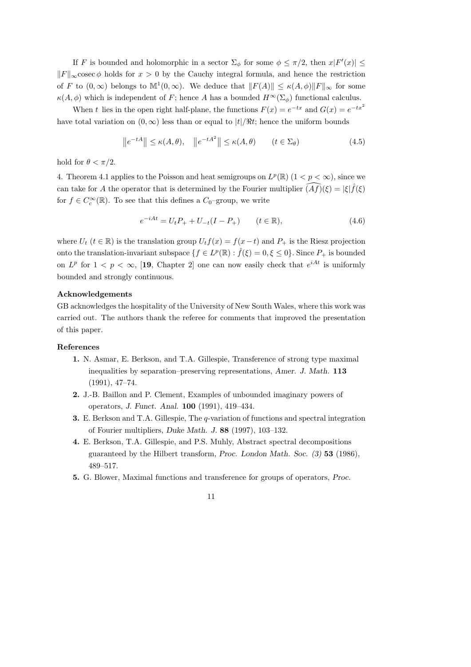If F is bounded and holomorphic in a sector  $\Sigma_{\phi}$  for some  $\phi \leq \pi/2$ , then  $x|F'(x)| \leq$  $||F||_{\infty}$ cosec  $\phi$  holds for  $x > 0$  by the Cauchy integral formula, and hence the restriction of F to  $(0, \infty)$  belongs to  $\mathbb{M}^1(0, \infty)$ . We deduce that  $||F(A)|| \leq \kappa(A, \phi)||F||_{\infty}$  for some  $\kappa(A, \phi)$  which is independent of F; hence A has a bounded  $H^{\infty}(\Sigma_{\phi})$  functional calculus.

When t lies in the open right half-plane, the functions  $F(x) = e^{-tx}$  and  $G(x) = e^{-tx^2}$ have total variation on  $(0, \infty)$  less than or equal to  $|t|/\Re t$ ; hence the uniform bounds

$$
\|e^{-tA}\| \le \kappa(A,\theta), \quad \|e^{-tA^2}\| \le \kappa(A,\theta) \qquad (t \in \Sigma_{\theta}) \tag{4.5}
$$

hold for  $\theta < \pi/2$ .

4. Theorem 4.1 applies to the Poisson and heat semigroups on  $L^p(\mathbb{R})$   $(1 < p < \infty)$ , since we can take for A the operator that is determined by the Fourier multiplier  $\widehat{(Af)}(\xi) = |\xi|\hat{f}(\xi)$ for  $f \in C_c^{\infty}(\mathbb{R})$ . To see that this defines a  $C_0$ -group, we write

$$
e^{-iAt} = U_t P_+ + U_{-t} (I - P_+) \qquad (t \in \mathbb{R}), \tag{4.6}
$$

where  $U_t$  ( $t \in \mathbb{R}$ ) is the translation group  $U_t f(x) = f(x-t)$  and  $P_+$  is the Riesz projection onto the translation-invariant subspace  $\{f \in L^p(\mathbb{R}) : \hat{f}(\xi) = 0, \xi \leq 0\}$ . Since  $P_+$  is bounded on  $L^p$  for  $1 < p < \infty$ , [19, Chapter 2] one can now easily check that  $e^{iAt}$  is uniformly bounded and strongly continuous.

## Acknowledgements

GB acknowledges the hospitality of the University of New South Wales, where this work was carried out. The authors thank the referee for comments that improved the presentation of this paper.

# References

- 1. N. Asmar, E. Berkson, and T.A. Gillespie, Transference of strong type maximal inequalities by separation–preserving representations, Amer. J. Math. 113 (1991), 47–74.
- 2. J.-B. Baillon and P. Clement, Examples of unbounded imaginary powers of operators, J. Funct. Anal. 100 (1991), 419–434.
- 3. E. Berkson and T.A. Gillespie, The q-variation of functions and spectral integration of Fourier multipliers, Duke Math. J. 88 (1997), 103–132.
- 4. E. Berkson, T.A. Gillespie, and P.S. Muhly, Abstract spectral decompositions guaranteed by the Hilbert transform, Proc. London Math. Soc. (3) 53 (1986), 489–517.
- 5. G. Blower, Maximal functions and transference for groups of operators, Proc.